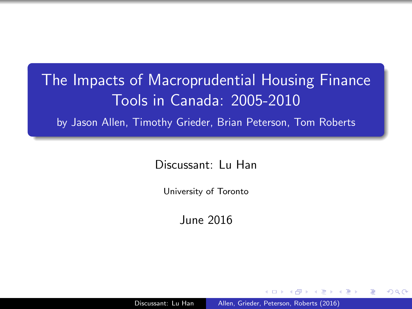## The Impacts of Macroprudential Housing Finance Tools in Canada: 2005-2010

by Jason Allen, Timothy Grieder, Brian Peterson, Tom Roberts

Discussant: Lu Han

University of Toronto

<span id="page-0-0"></span>June 2016

Discussant: Lu Han [Allen, Grieder, Peterson, Roberts \(2016\)](#page-9-0)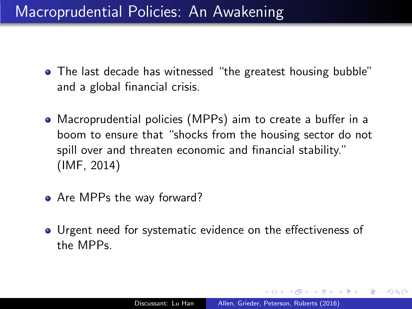#### Macroprudential Policies: An Awakening

- The last decade has witnessed "the greatest housing bubble" and a global financial crisis.
- Macroprudential policies (MPPs) aim to create a buffer in a boom to ensure that "shocks from the housing sector do not spill over and threaten economic and financial stability." (IMF, 2014)
- Are MPPs the way forward?
- Urgent need for systematic evidence on the effectiveness of the MPPs.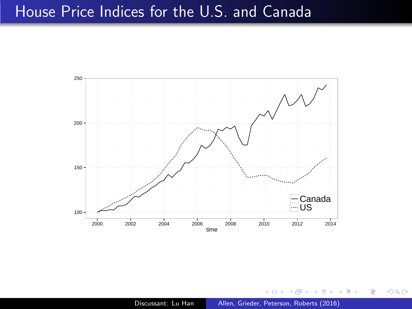#### House Price Indices for the U.S. and Canada



Discussant: Lu Han [Allen, Grieder, Peterson, Roberts \(2016\)](#page-0-0)

 $\leftarrow$ 

∍

∍

∍

 $2Q$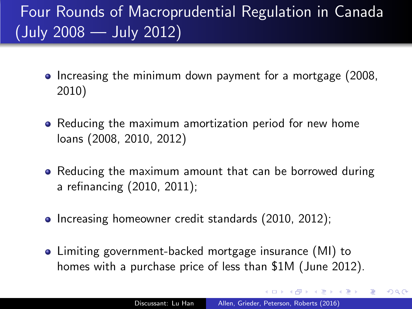# Four Rounds of Macroprudential Regulation in Canada (July 2008 — July 2012)

- Increasing the minimum down payment for a mortgage (2008, 2010)
- Reducing the maximum amortization period for new home loans (2008, 2010, 2012)
- Reducing the maximum amount that can be borrowed during a refinancing (2010, 2011);
- Increasing homeowner credit standards (2010, 2012);
- Limiting government-backed mortgage insurance (MI) to homes with a purchase price of less than \$1M (June 2012).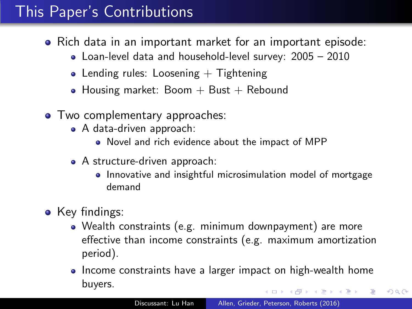### This Paper's Contributions

- Rich data in an important market for an important episode:
	- Loan-level data and household-level survey: 2005 2010
	- Lending rules: Loosening  $+$  Tightening
	- Housing market: Boom  $+$  Bust  $+$  Rebound
- Two complementary approaches:
	- A data-driven approach:
		- Novel and rich evidence about the impact of MPP
	- A structure-driven approach:
		- Innovative and insightful microsimulation model of mortgage demand
- Key findings:
	- Wealth constraints (e.g. minimum downpayment) are more effective than income constraints (e.g. maximum amortization period).
	- Income constraints have a larger impact on high-wealth home buyers.

<span id="page-4-0"></span> $\Omega$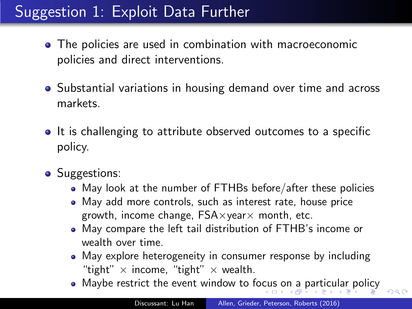## Suggestion 1: Exploit Data Further

- The policies are used in combination with macroeconomic policies and direct interventions.
- Substantial variations in housing demand over time and across markets.
- It is challenging to attribute observed outcomes to a specific policy.
- Suggestions:
	- May look at the number of FTHBs before/after these policies
	- May add more controls, such as interest rate, house price growth, income change,  $FSA \times year \times$  month, etc.
	- May compare the left tail distribution of FTHB's income or wealth over time.
	- May explore heterogeneity in consumer response by including "tight"  $\times$  income, "tight"  $\times$  wealth.
	- Maybe restrict the event window to fo[cu](#page-4-0)s [o](#page-6-0)[n](#page-4-0) [a](#page-5-0) [p](#page-6-0)[art](#page-0-0)[icu](#page-9-0)[lar](#page-0-0) [p](#page-9-0)[oli](#page-0-0)[cy](#page-9-0)

<span id="page-5-0"></span> $QQ$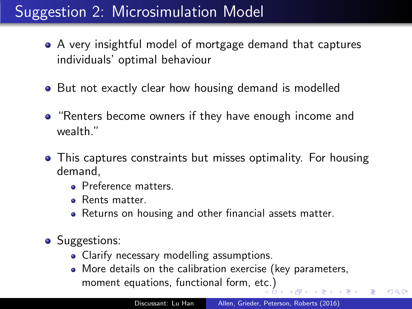## Suggestion 2: Microsimulation Model

- A very insightful model of mortgage demand that captures individuals' optimal behaviour
- But not exactly clear how housing demand is modelled
- "Renters become owners if they have enough income and wealth."
- This captures constraints but misses optimality. For housing demand,
	- **Preference matters.**
	- **•** Rents matter.
	- Returns on housing and other financial assets matter.
- Suggestions:
	- Clarify necessary modelling assumptions.
	- More details on the calibration exercise (key parameters, moment equations, functional form, e[tc.](#page-5-0))

<span id="page-6-0"></span> $QQ$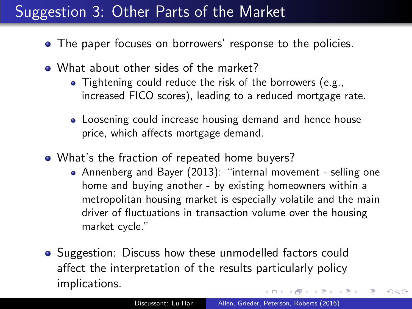## Suggestion 3: Other Parts of the Market

- The paper focuses on borrowers' response to the policies.
- What about other sides of the market?
	- Tightening could reduce the risk of the borrowers (e.g., increased FICO scores), leading to a reduced mortgage rate.
	- Loosening could increase housing demand and hence house price, which affects mortgage demand.
- What's the fraction of repeated home buyers?
	- Annenberg and Bayer (2013): "internal movement selling one home and buying another - by existing homeowners within a metropolitan housing market is especially volatile and the main driver of fluctuations in transaction volume over the housing market cycle."
- Suggestion: Discuss how these unmodelled factors could affect the interpretation of the results particularly policy implications.  $\overline{AB}$   $\rightarrow$   $\overline{AB}$   $\rightarrow$   $\overline{AB}$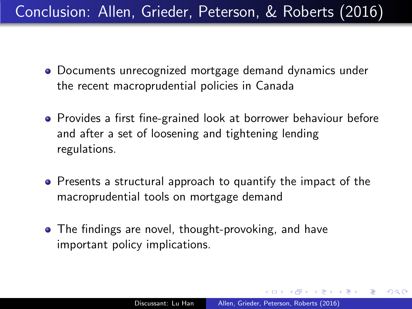Conclusion: Allen, Grieder, Peterson, & Roberts (2016)

- Documents unrecognized mortgage demand dynamics under the recent macroprudential policies in Canada
- Provides a first fine-grained look at borrower behaviour before and after a set of loosening and tightening lending regulations.
- Presents a structural approach to quantify the impact of the macroprudential tools on mortgage demand
- <span id="page-8-0"></span>• The findings are novel, thought-provoking, and have important policy implications.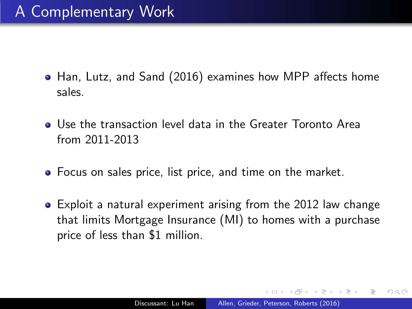- Han, Lutz, and Sand (2016) examines how MPP affects home sales.
- Use the transaction level data in the Greater Toronto Area from 2011-2013
- Focus on sales price, list price, and time on the market.
- <span id="page-9-0"></span>Exploit a natural experiment arising from the 2012 law change that limits Mortgage Insurance (MI) to homes with a purchase price of less than \$1 million.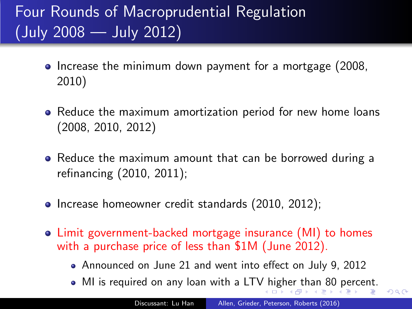# Four Rounds of Macroprudential Regulation (July 2008 — July 2012)

- Increase the minimum down payment for a mortgage (2008, 2010)
- Reduce the maximum amortization period for new home loans (2008, 2010, 2012)
- Reduce the maximum amount that can be borrowed during a refinancing (2010, 2011);
- Increase homeowner credit standards (2010, 2012);
- Limit government-backed mortgage insurance (MI) to homes with a purchase price of less than \$1M (June 2012).
	- Announced on June 21 and went into effect on July 9, 2012
	- MI is required on any loan with a LT[V h](#page-9-0)i[gh](#page-9-0)[e](#page-8-0)[r th](#page-9-0)[an](#page-0-0) [80](#page-9-0) [p](#page-0-0)[erc](#page-9-0)[en](#page-0-0)[t.](#page-9-0)

<span id="page-10-0"></span> $QQ$